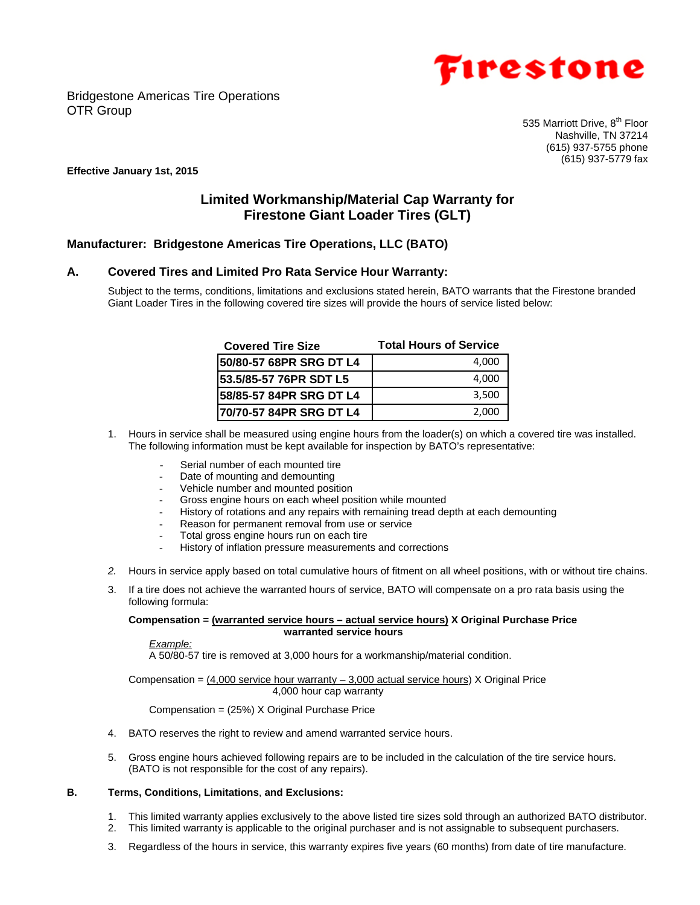



535 Marriott Drive, 8<sup>th</sup> Floor Nashville, TN 37214 (615) 937-5755 phone (615) 937-5779 fax

#### **Effective January 1st, 2015**

# **Limited Workmanship/Material Cap Warranty for Firestone Giant Loader Tires (GLT)**

# **Manufacturer: Bridgestone Americas Tire Operations, LLC (BATO)**

## **A. Covered Tires and Limited Pro Rata Service Hour Warranty:**

Subject to the terms, conditions, limitations and exclusions stated herein, BATO warrants that the Firestone branded Giant Loader Tires in the following covered tire sizes will provide the hours of service listed below:

| <b>Covered Tire Size</b> | <b>Total Hours of Service</b> |
|--------------------------|-------------------------------|
| 50/80-57 68PR SRG DT L4  | 4,000                         |
| 53.5/85-57 76PR SDT L5   | 4.000                         |
| 58/85-57 84PR SRG DT L4  | 3,500                         |
| 70/70-57 84PR SRG DT L4  | 2,000                         |

- 1. Hours in service shall be measured using engine hours from the loader(s) on which a covered tire was installed. The following information must be kept available for inspection by BATO's representative:
	- Serial number of each mounted tire
	- Date of mounting and demounting
	- Vehicle number and mounted position
	- Gross engine hours on each wheel position while mounted
	- History of rotations and any repairs with remaining tread depth at each demounting
	- Reason for permanent removal from use or service
	- Total gross engine hours run on each tire
	- History of inflation pressure measurements and corrections
- *2.* Hours in service apply based on total cumulative hours of fitment on all wheel positions, with or without tire chains.
- 3. If a tire does not achieve the warranted hours of service, BATO will compensate on a pro rata basis using the following formula:

**Compensation = (warranted service hours – actual service hours) X Original Purchase Price warranted service hours** 

*Example:* 

A 50/80-57 tire is removed at 3,000 hours for a workmanship/material condition.

Compensation =  $(4,000$  service hour warranty - 3,000 actual service hours) X Original Price 4,000 hour cap warranty

Compensation = (25%) X Original Purchase Price

- 4. BATO reserves the right to review and amend warranted service hours.
- 5. Gross engine hours achieved following repairs are to be included in the calculation of the tire service hours. (BATO is not responsible for the cost of any repairs).

### **B. Terms, Conditions, Limitations**, **and Exclusions:**

- 1. This limited warranty applies exclusively to the above listed tire sizes sold through an authorized BATO distributor.
- 2. This limited warranty is applicable to the original purchaser and is not assignable to subsequent purchasers.
- 3. Regardless of the hours in service, this warranty expires five years (60 months) from date of tire manufacture.